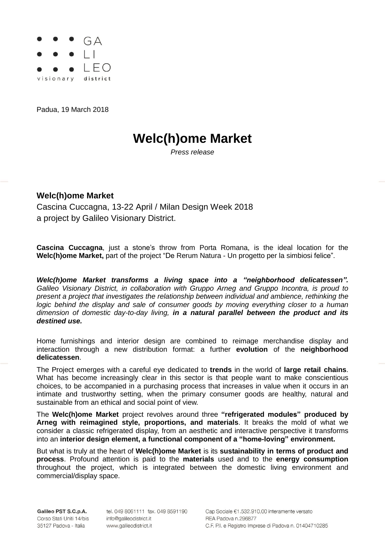

Padua, 19 March 2018

## **Welc(h)ome Market**

*Press release*

## **Welc(h)ome Market**

Cascina Cuccagna, 13-22 April / Milan Design Week 2018 a project by Galileo Visionary District.

**Cascina Cuccagna**, just a stone's throw from Porta Romana, is the ideal location for the **Welc(h)ome Market,** part of the project "De Rerum Natura - Un progetto per la simbiosi felice".

*Welc(h)ome Market transforms a living space into a "neighborhood delicatessen". Galileo Visionary District, in collaboration with Gruppo Arneg and Gruppo Incontra, is proud to present a project that investigates the relationship between individual and ambience, rethinking the logic behind the display and sale of consumer goods by moving everything closer to a human dimension of domestic day-to-day living, in a natural parallel between the product and its destined use.*

Home furnishings and interior design are combined to reimage merchandise display and interaction through a new distribution format: a further **evolution** of the **neighborhood delicatessen**.

The Project emerges with a careful eye dedicated to **trends** in the world of **large retail chains**. What has become increasingly clear in this sector is that people want to make conscientious choices, to be accompanied in a purchasing process that increases in value when it occurs in an intimate and trustworthy setting, when the primary consumer goods are healthy, natural and sustainable from an ethical and social point of view.

The **Welc(h)ome Market** project revolves around three **"refrigerated modules" produced by Arneg with reimagined style, proportions, and materials**. It breaks the mold of what we consider a classic refrigerated display, from an aesthetic and interactive perspective it transforms into an **interior design element, a functional component of a "home-loving" environment.**

But what is truly at the heart of **Welc(h)ome Market** is its **sustainability in terms of product and process**. Profound attention is paid to the **materials** used and to the **energy consumption** throughout the project, which is integrated between the domestic living environment and commercial/display space.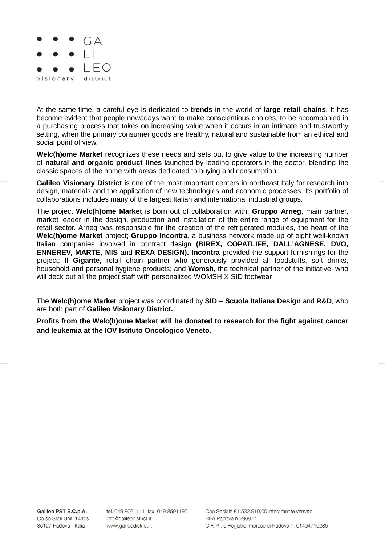

At the same time, a careful eye is dedicated to **trends** in the world of **large retail chains**. It has become evident that people nowadays want to make conscientious choices, to be accompanied in a purchasing process that takes on increasing value when it occurs in an intimate and trustworthy setting, when the primary consumer goods are healthy, natural and sustainable from an ethical and social point of view.

**Welc(h)ome Market** recognizes these needs and sets out to give value to the increasing number of **natural and organic product lines** launched by leading operators in the sector, blending the classic spaces of the home with areas dedicated to buying and consumption

**Galileo Visionary District** is one of the most important centers in northeast Italy for research into design, materials and the application of new technologies and economic processes. Its portfolio of collaborations includes many of the largest Italian and international industrial groups.

The project **Welc(h)ome Market** is born out of collaboration with: **Gruppo Arneg**, main partner, market leader in the design, production and installation of the entire range of equipment for the retail sector. Arneg was responsible for the creation of the refrigerated modules, the heart of the **Welc(h)ome Market** project; **Gruppo Incontra**, a business network made up of eight well-known Italian companies involved in contract design **(BIREX, COPATLIFE, DALL'AGNESE, DVO, ENNEREV, MARTE, MIS** and **REXA DESIGN). Incontra** provided the support furnishings for the project; **Il Gigante,** retail chain partner who generously provided all foodstuffs, soft drinks, household and personal hygiene products; and **Womsh**, the technical partner of the initiative, who will deck out all the project staff with personalized WOMSH X SID footwear

The **Welc(h)ome Market** project was coordinated by **SID – Scuola Italiana Design** and **R&D**, who are both part of **Galileo Visionary District.**

**Profits from the Welc(h)ome Market will be donated to research for the fight against cancer and leukemia at the IOV Istituto Oncologico Veneto.**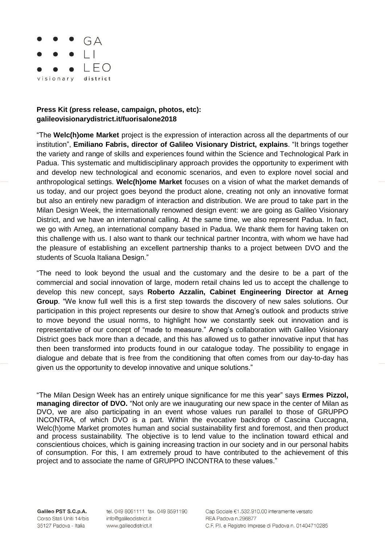

## **Press Kit (press release, campaign, photos, etc): galileovisionarydistrict.it/fuorisalone2018**

"The **Welc(h)ome Market** project is the expression of interaction across all the departments of our institution", **Emiliano Fabris, director of Galileo Visionary District, explains**. "It brings together the variety and range of skills and experiences found within the Science and Technological Park in Padua. This systematic and multidisciplinary approach provides the opportunity to experiment with and develop new technological and economic scenarios, and even to explore novel social and anthropological settings. **Welc(h)ome Market** focuses on a vision of what the market demands of us today, and our project goes beyond the product alone, creating not only an innovative format but also an entirely new paradigm of interaction and distribution. We are proud to take part in the Milan Design Week, the internationally renowned design event: we are going as Galileo Visionary District, and we have an international calling. At the same time, we also represent Padua. In fact, we go with Arneg, an international company based in Padua. We thank them for having taken on this challenge with us. I also want to thank our technical partner Incontra, with whom we have had the pleasure of establishing an excellent partnership thanks to a project between DVO and the students of Scuola Italiana Design."

"The need to look beyond the usual and the customary and the desire to be a part of the commercial and social innovation of large, modern retail chains led us to accept the challenge to develop this new concept, says **Roberto Azzalin, Cabinet Engineering Director at Arneg Group**. "We know full well this is a first step towards the discovery of new sales solutions. Our participation in this project represents our desire to show that Arneg's outlook and products strive to move beyond the usual norms, to highlight how we constantly seek out innovation and is representative of our concept of "made to measure." Arneg's collaboration with Galileo Visionary District goes back more than a decade, and this has allowed us to gather innovative input that has then been transformed into products found in our catalogue today. The possibility to engage in dialogue and debate that is free from the conditioning that often comes from our day-to-day has given us the opportunity to develop innovative and unique solutions."

"The Milan Design Week has an entirely unique significance for me this year" says **Ermes Pizzol, managing director of DVO.** "Not only are we inaugurating our new space in the center of Milan as DVO, we are also participating in an event whose values run parallel to those of GRUPPO INCONTRA, of which DVO is a part. Within the evocative backdrop of Cascina Cuccagna, Welc(h)ome Market promotes human and social sustainability first and foremost, and then product and process sustainability. The objective is to lend value to the inclination toward ethical and conscientious choices, which is gaining increasing traction in our society and in our personal habits of consumption. For this, I am extremely proud to have contributed to the achievement of this project and to associate the name of GRUPPO INCONTRA to these values."

Galileo PST S.C.p.A. Corso Stati Uniti 14/bis 35127 Padova - Italia

tel. 049 8061111 fax. 049 8591190 info@galileodistrict.it www.galileodistrict.it